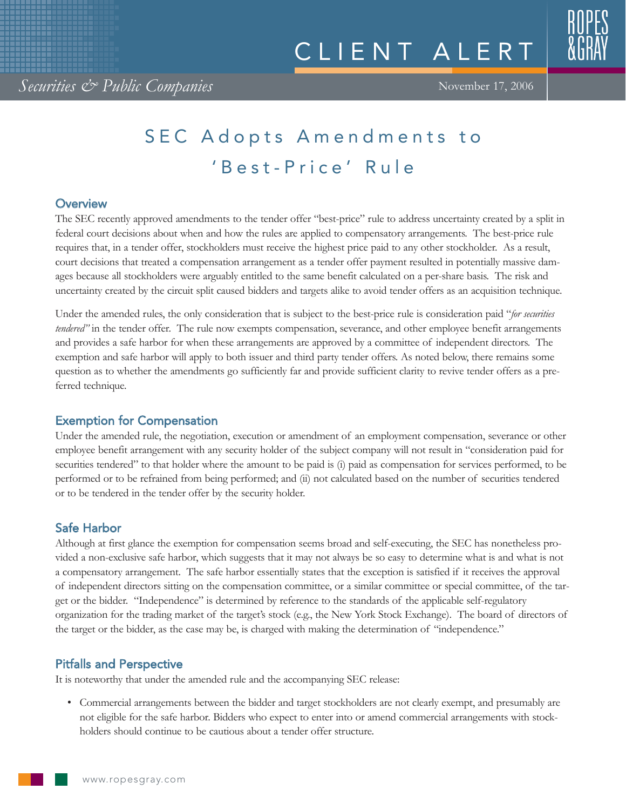# SEC Adopts Amendments to 'Best-Price' Rule

## **Overview**

The SEC recently approved amendments to the tender offer "best-price" rule to address uncertainty created by a split in federal court decisions about when and how the rules are applied to compensatory arrangements. The best-price rule requires that, in a tender offer, stockholders must receive the highest price paid to any other stockholder. As a result, court decisions that treated a compensation arrangement as a tender offer payment resulted in potentially massive damages because all stockholders were arguably entitled to the same benefit calculated on a per-share basis. The risk and uncertainty created by the circuit split caused bidders and targets alike to avoid tender offers as an acquisition technique.

Under the amended rules, the only consideration that is subject to the best-price rule is consideration paid "*for securities tendered"* in the tender offer. The rule now exempts compensation, severance, and other employee benefit arrangements and provides a safe harbor for when these arrangements are approved by a committee of independent directors. The exemption and safe harbor will apply to both issuer and third party tender offers. As noted below, there remains some question as to whether the amendments go sufficiently far and provide sufficient clarity to revive tender offers as a preferred technique.

# Exemption for Compensation

Under the amended rule, the negotiation, execution or amendment of an employment compensation, severance or other employee benefit arrangement with any security holder of the subject company will not result in "consideration paid for securities tendered" to that holder where the amount to be paid is (i) paid as compensation for services performed, to be performed or to be refrained from being performed; and (ii) not calculated based on the number of securities tendered or to be tendered in the tender offer by the security holder.

# Safe Harbor

Although at first glance the exemption for compensation seems broad and self-executing, the SEC has nonetheless provided a non-exclusive safe harbor, which suggests that it may not always be so easy to determine what is and what is not a compensatory arrangement. The safe harbor essentially states that the exception is satisfied if it receives the approval of independent directors sitting on the compensation committee, or a similar committee or special committee, of the target or the bidder. "Independence" is determined by reference to the standards of the applicable self-regulatory organization for the trading market of the target's stock (e.g., the New York Stock Exchange). The board of directors of the target or the bidder, as the case may be, is charged with making the determination of "independence."

# Pitfalls and Perspective

It is noteworthy that under the amended rule and the accompanying SEC release:

• Commercial arrangements between the bidder and target stockholders are not clearly exempt, and presumably are not eligible for the safe harbor. Bidders who expect to enter into or amend commercial arrangements with stockholders should continue to be cautious about a tender offer structure.